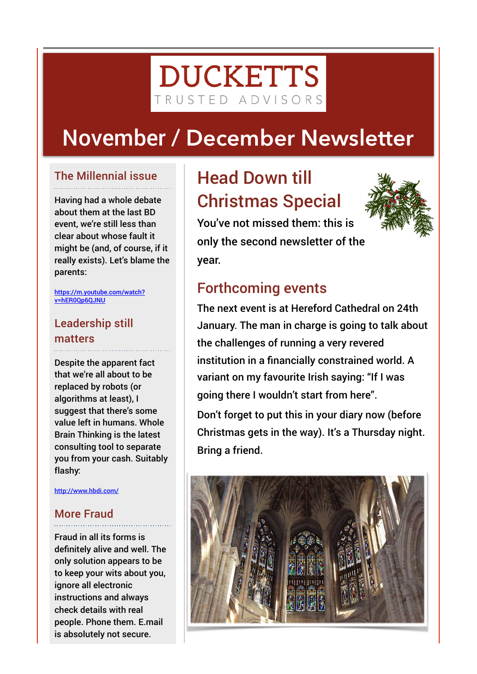# **DUCKETTS** TRUSTED ADVISORS

# November **/ December Newsletter**

## The Millennial issue

Having had a whole debate about them at the last BD event, we're still less than clear about whose fault it might be (and, of course, if it really exists). Let's blame the parents:

[https://m.youtube.com/watch?](https://m.youtube.com/watch?v=hER0Qp6QJNU) [v=hER0Qp6QJNU](https://m.youtube.com/watch?v=hER0Qp6QJNU)

# Leadership still matters

Despite the apparent fact that we're all about to be replaced by robots (or algorithms at least), I suggest that there's some value left in humans. Whole Brain Thinking is the latest consulting tool to separate you from your cash. Suitably flashy:

<http://www.hbdi.com/>

### More Fraud

Fraud in all its forms is definitely alive and well. The only solution appears to be to keep your wits about you, ignore all electronic instructions and always check details with real people. Phone them. E.mail is absolutely not secure.

# Head Down till Christmas Special



You've not missed them: this is only the second newsletter of the year.

# Forthcoming events

The next event is at Hereford Cathedral on 24th January. The man in charge is going to talk about the challenges of running a very revered institution in a financially constrained world. A variant on my favourite Irish saying: "If I was going there I wouldn't start from here".

Don't forget to put this in your diary now (before Christmas gets in the way). It's a Thursday night. Bring a friend.

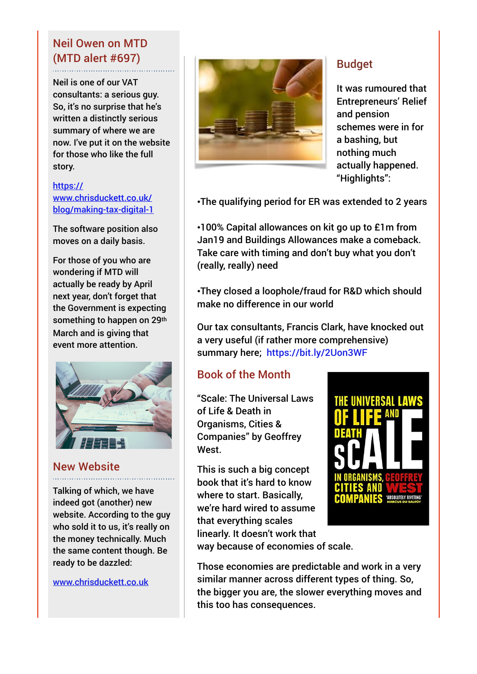## Neil Owen on MTD (MTD alert #697)

Neil is one of our VAT consultants: a serious guy. So, it's no surprise that he's written a distinctly serious summary of where we are now. I've put it on the website for those who like the full story.

#### [https://](https://www.chrisduckett.co.uk/blog/making-tax-digital-1) [www.chrisduckett.co.uk/](https://www.chrisduckett.co.uk/blog/making-tax-digital-1) [blog/making-tax-digital-1](https://www.chrisduckett.co.uk/blog/making-tax-digital-1)

The software position also moves on a daily basis.

For those of you who are wondering if MTD will actually be ready by April next year, don't forget that the Government is expecting something to happen on 29th March and is giving that event more attention.



### New Website

Talking of which, we have indeed got (another) new website. According to the guy who sold it to us, it's really on the money technically. Much the same content though. Be ready to be dazzled:

[www.chrisduckett.co.uk](http://www.chrisduckett.co.uk)



### Budget

It was rumoured that Entrepreneurs' Relief and pension schemes were in for a bashing, but nothing much actually happened. "Highlights":

•The qualifying period for ER was extended to 2 years

•100% Capital allowances on kit go up to £1m from Jan19 and Buildings Allowances make a comeback. Take care with timing and don't buy what you don't (really, really) need

•They closed a loophole/fraud for R&D which should make no difference in our world

Our tax consultants, Francis Clark, have knocked out a very useful (if rather more comprehensive) summary here; <https://bit.ly/2Uon3WF>

# Book of the Month

"Scale: The Universal Laws of Life & Death in Organisms, Cities & Companies" by Geoffrey West.

This is such a big concept book that it's hard to know where to start. Basically, we're hard wired to assume that everything scales linearly. It doesn't work that



way because of economies of scale.

Those economies are predictable and work in a very similar manner across different types of thing. So, the bigger you are, the slower everything moves and this too has consequences.